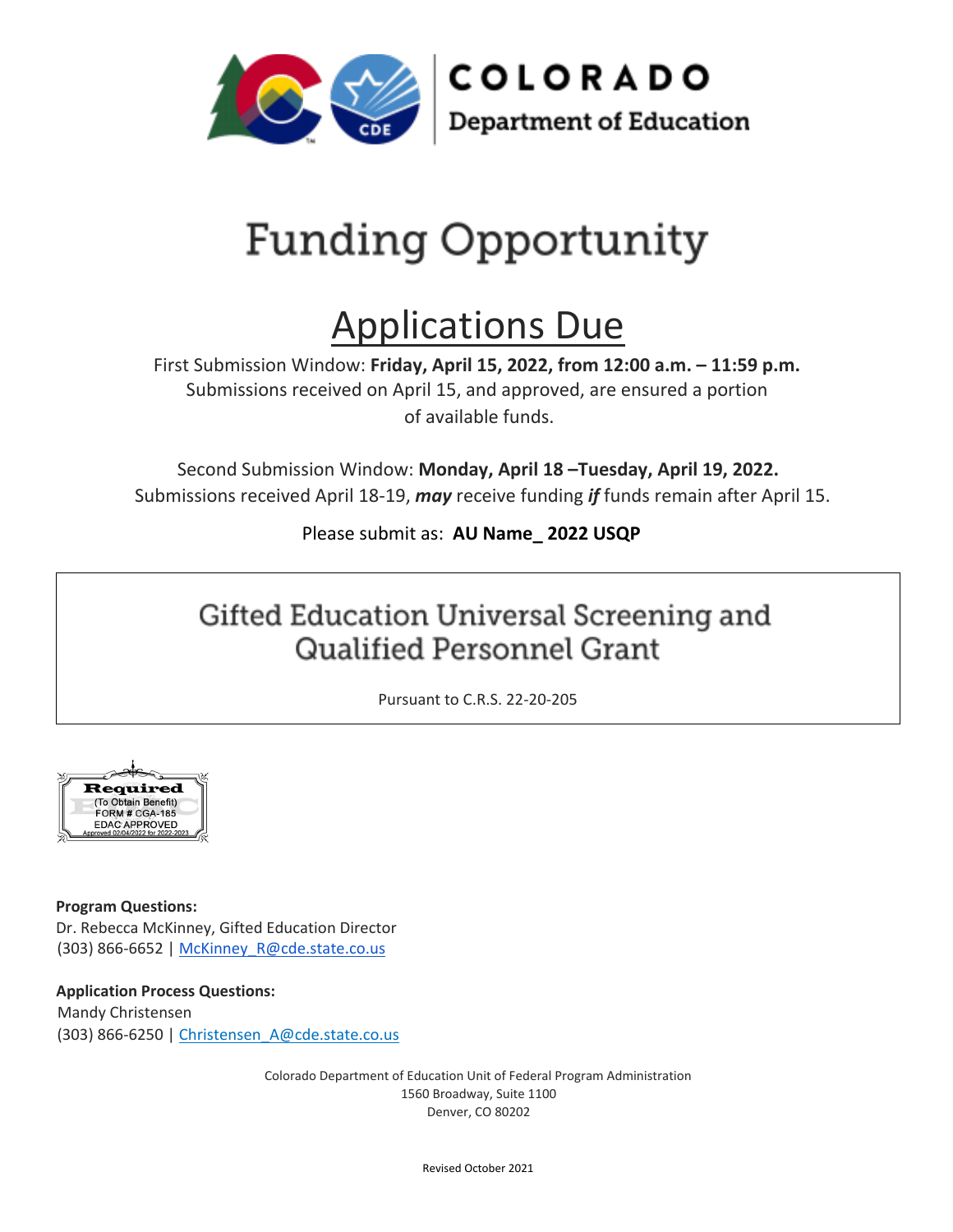

# Funding Opportunity

## Applications Due

First Submission Window: **Friday, April 15, 2022, from 12:00 a.m. – 11:59 p.m.**  Submissions received on April 15, and approved, are ensured a portion of available funds.

Second Submission Window: **Monday, April 18 –Tuesday, April 19, 2022.** Submissions received April 18-19, *may* receive funding *if* funds remain after April 15.

## Please submit as: **AU Name\_ 2022 USQP**

## Gifted Education Universal Screening and **Qualified Personnel Grant**

Pursuant to C.R.S. 22-20-205



**Program Questions:**  Dr. Rebecca McKinney, Gifted Education Director (303) 866-6652 | McKinney R@cde.state.co.us

**Application Process Questions:** 

Mandy Christensen (303) 866-6250 | [Christensen\\_A@cde.state.co.us](mailto:Christensen_A@cde.state.co.us)

> Colorado Department of Education Unit of Federal Program Administration 1560 Broadway, Suite 1100 Denver, CO 80202

> > Revised October 2021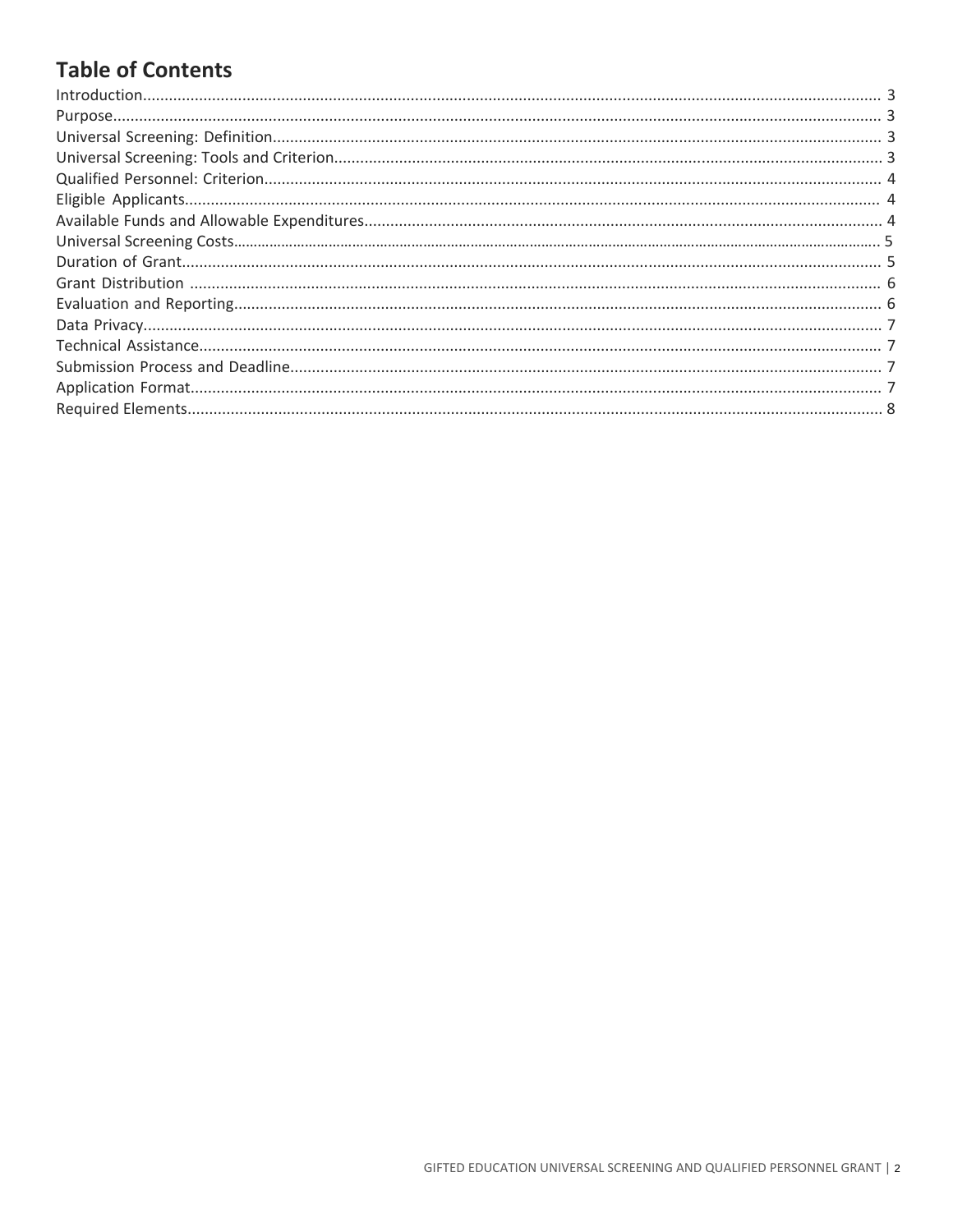## **Table of Contents**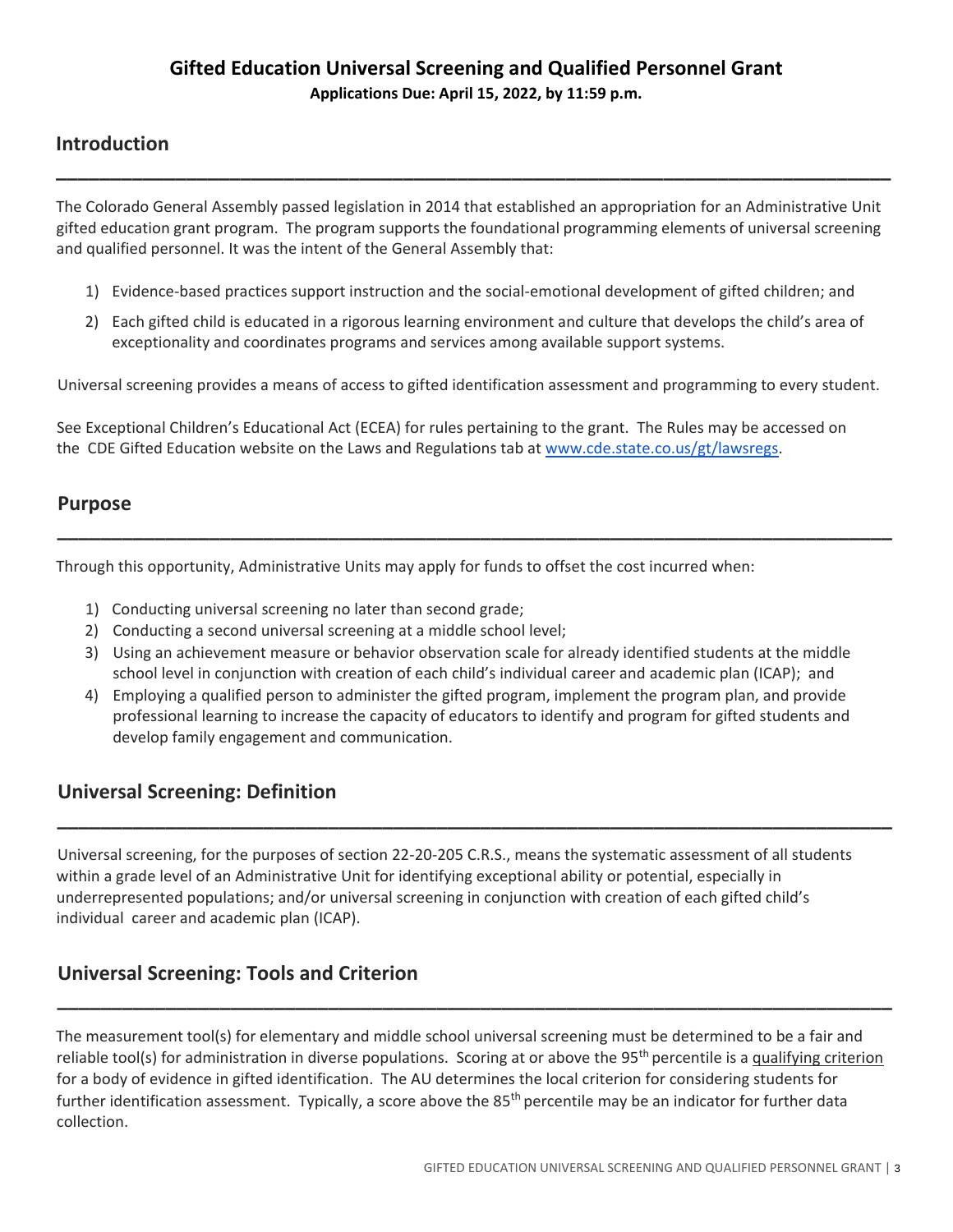## **Introduction**

The Colorado General Assembly passed legislation in 2014 that established an appropriation for an Administrative Unit gifted education grant program. The program supports the foundational programming elements of universal screening and qualified personnel. It was the intent of the General Assembly that:

**\_\_\_\_\_\_\_\_\_\_\_\_\_\_\_\_\_\_\_\_\_\_\_\_\_\_\_\_\_\_\_\_\_\_\_\_\_\_\_\_\_\_\_\_\_\_\_\_\_\_\_\_\_\_\_\_\_\_\_\_\_\_\_\_\_\_\_\_\_\_\_\_\_\_\_\_\_**

- 1) Evidence-based practices support instruction and the social-emotional development of gifted children; and
- 2) Each gifted child is educated in a rigorous learning environment and culture that develops the child's area of exceptionality and coordinates programs and services among available support systems.

Universal screening provides a means of access to gifted identification assessment and programming to every student.

See Exceptional Children's Educational Act (ECEA) for rules pertaining to the grant. The Rules may be accessed on the CDE Gifted Education website on the Laws and Regulations tab at [www.cde.state.co.us/gt/lawsregs.](http://www.cde.state.co.us/gt/lawsregs)

## **Purpose**

Through this opportunity, Administrative Units may apply for funds to offset the cost incurred when:

- 1) Conducting universal screening no later than second grade;
- 2) Conducting a second universal screening at a middle school level;
- 3) Using an achievement measure or behavior observation scale for already identified students at the middle school level in conjunction with creation of each child's individual career and academic plan (ICAP); and

**\_\_\_\_\_\_\_\_\_\_\_\_\_\_\_\_\_\_\_\_\_\_\_\_\_\_\_\_\_\_\_\_\_\_\_\_\_\_\_\_\_\_\_\_\_\_\_\_\_\_\_\_\_\_\_\_\_\_\_\_\_\_\_\_\_\_\_\_\_\_\_\_\_\_\_\_\_** 

4) Employing a qualified person to administer the gifted program, implement the program plan, and provide professional learning to increase the capacity of educators to identify and program for gifted students and develop family engagement and communication.

**\_\_\_\_\_\_\_\_\_\_\_\_\_\_\_\_\_\_\_\_\_\_\_\_\_\_\_\_\_\_\_\_\_\_\_\_\_\_\_\_\_\_\_\_\_\_\_\_\_\_\_\_\_\_\_\_\_\_\_\_\_\_\_\_\_\_\_\_\_\_\_\_\_\_\_\_\_**

## **Universal Screening: Definition**

Universal screening, for the purposes of section 22-20-205 C.R.S., means the systematic assessment of all students within a grade level of an Administrative Unit for identifying exceptional ability or potential, especially in underrepresented populations; and/or universal screening in conjunction with creation of each gifted child's individual career and academic plan (ICAP).

## **Universal Screening: Tools and Criterion**

The measurement tool(s) for elementary and middle school universal screening must be determined to be a fair and reliable tool(s) for administration in diverse populations. Scoring at or above the  $95<sup>th</sup>$  percentile is a qualifying criterion for a body of evidence in gifted identification. The AU determines the local criterion for considering students for further identification assessment. Typically, a score above the 85<sup>th</sup> percentile may be an indicator for further data collection.

**\_\_\_\_\_\_\_\_\_\_\_\_\_\_\_\_\_\_\_\_\_\_\_\_\_\_\_\_\_\_\_\_\_\_\_\_\_\_\_\_\_\_\_\_\_\_\_\_\_\_\_\_\_\_\_\_\_\_\_\_\_\_\_\_\_\_\_\_\_\_\_\_\_\_\_\_\_**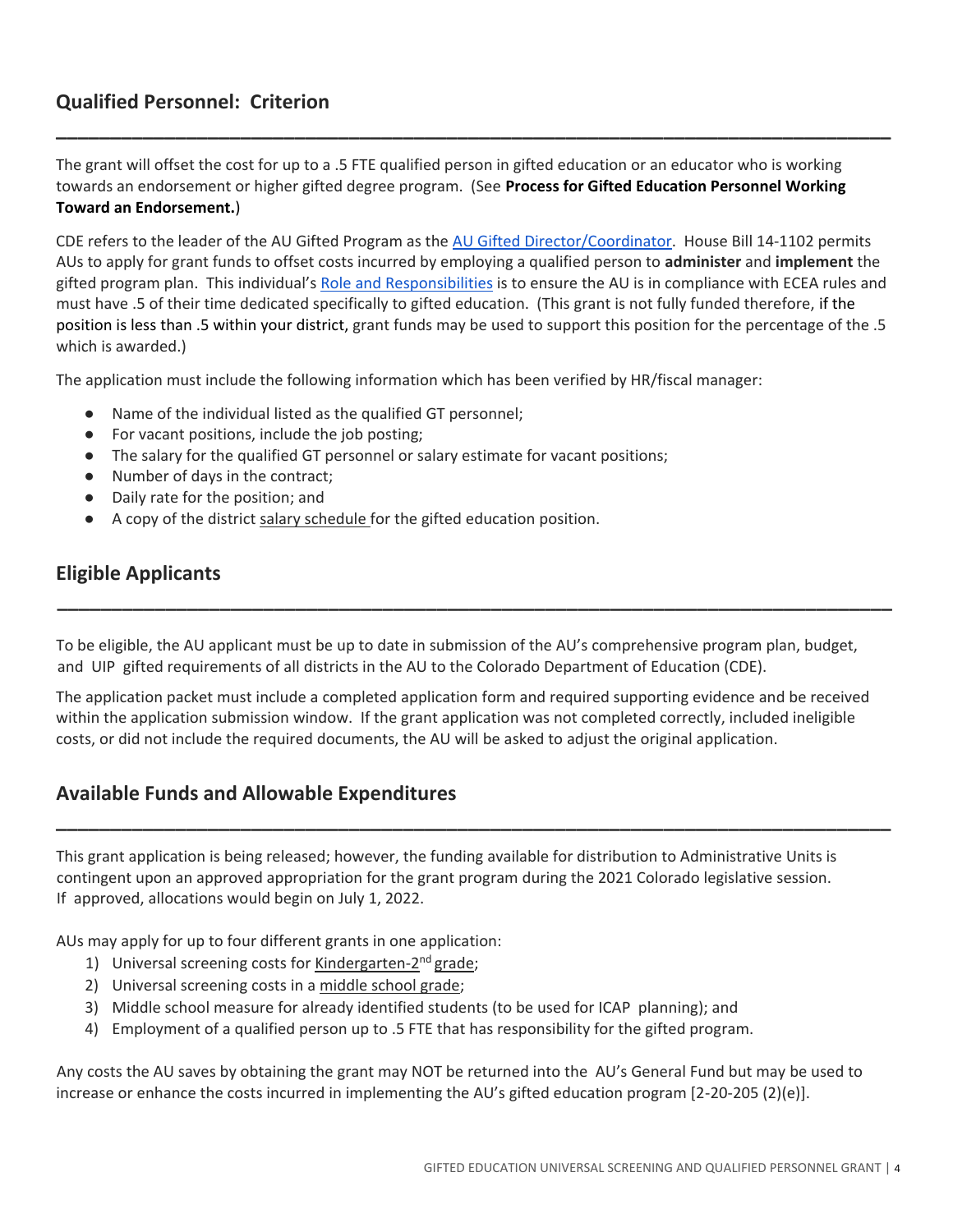## **Qualified Personnel: Criterion**

The grant will offset the cost for up to a .5 FTE qualified person in gifted education or an educator who is working towards an endorsement or higher gifted degree program. (See **Process for Gifted Education Personnel Working Toward an Endorsement.**)

**\_\_\_\_\_\_\_\_\_\_\_\_\_\_\_\_\_\_\_\_\_\_\_\_\_\_\_\_\_\_\_\_\_\_\_\_\_\_\_\_\_\_\_\_\_\_\_\_\_\_\_\_\_\_\_\_\_\_\_\_\_\_\_\_\_\_\_\_\_\_\_\_\_\_\_\_\_**

CDE refers to the leader of the AU Gifted Program as the [AU Gifted Director/Coordinator.](https://www.cde.state.co.us/gt/directorroles) House Bill 14-1102 permits AUs to apply for grant funds to offset costs incurred by employing a qualified person to **administer** and **implement** the gifted program plan. This individual's Role [and Responsibilities](https://www.cde.state.co.us/gt/directorroles) is to ensure the AU is in compliance with ECEA rules and must have .5 of their time dedicated specifically to gifted education. (This grant is not fully funded therefore, if the position is less than .5 within your district, grant funds may be used to support this position for the percentage of the .5 which is awarded.)

The application must include the following information which has been verified by HR/fiscal manager:

- Name of the individual listed as the qualified GT personnel;
- For vacant positions, include the job posting;
- The salary for the qualified GT personnel or salary estimate for vacant positions;
- Number of days in the contract;
- Daily rate for the position; and
- A copy of the district salary schedule for the gifted education position.

## **Eligible Applicants**

To be eligible, the AU applicant must be up to date in submission of the AU's comprehensive program plan, budget, and UIP gifted requirements of all districts in the AU to the Colorado Department of Education (CDE).

**\_\_\_\_\_\_\_\_\_\_\_\_\_\_\_\_\_\_\_\_\_\_\_\_\_\_\_\_\_\_\_\_\_\_\_\_\_\_\_\_\_\_\_\_\_\_\_\_\_\_\_\_\_\_\_\_\_\_\_\_\_\_\_\_\_\_\_\_\_\_\_\_\_\_\_\_\_** 

The application packet must include a completed application form and required supporting evidence and be received within the application submission window. If the grant application was not completed correctly, included ineligible costs, or did not include the required documents, the AU will be asked to adjust the original application.

**\_\_\_\_\_\_\_\_\_\_\_\_\_\_\_\_\_\_\_\_\_\_\_\_\_\_\_\_\_\_\_\_\_\_\_\_\_\_\_\_\_\_\_\_\_\_\_\_\_\_\_\_\_\_\_\_\_\_\_\_\_\_\_\_\_\_\_\_\_\_\_\_\_\_\_\_\_** 

## **Available Funds and Allowable Expenditures**

This grant application is being released; however, the funding available for distribution to Administrative Units is contingent upon an approved appropriation for the grant program during the 2021 Colorado legislative session. If approved, allocations would begin on July 1, 2022.

AUs may apply for up to four different grants in one application:

- 1) Universal screening costs for Kindergarten-2<sup>nd</sup> grade;
- 2) Universal screening costs in a middle school grade;
- 3) Middle school measure for already identified students (to be used for ICAP planning); and
- 4) Employment of a qualified person up to .5 FTE that has responsibility for the gifted program.

Any costs the AU saves by obtaining the grant may NOT be returned into the AU's General Fund but may be used to increase or enhance the costs incurred in implementing the AU's gifted education program [2-20-205 (2)(e)].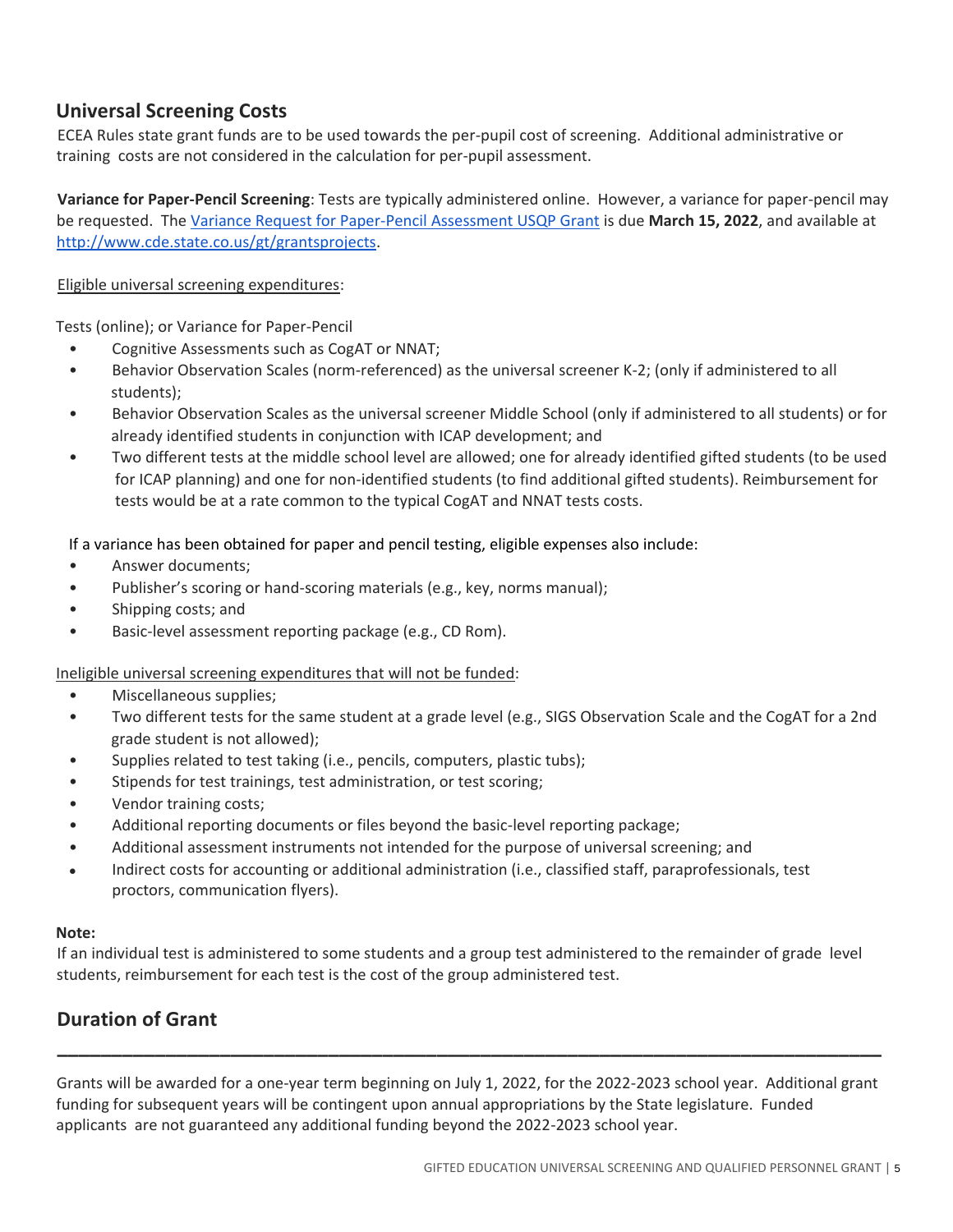## **Universal Screening Costs**

ECEA Rules state grant funds are to be used towards the per-pupil cost of screening. Additional administrative or training costs are not considered in the calculation for per-pupil assessment.

**Variance for Paper-Pencil Screening**: Tests are typically administered online. However, a variance for paper-pencil may be requested. Th[e Variance Request for Paper-Pencil Assessment USQP Grant](https://drive.google.com/file/d/1-XYvRirQcIo7nSxw8Oyql7kuhc4EIX5E/view?usp=sharing) is due **March 15, 2022**, and available at [http://www.cde.state.co.us/gt/grantsprojects.](http://www.cde.state.co.us/gt/grantsprojects)

#### Eligible universal screening expenditures:

Tests (online); or Variance for Paper-Pencil

- Cognitive Assessments such as CogAT or NNAT;
- Behavior Observation Scales (norm-referenced) as the universal screener K-2; (only if administered to all students);
- Behavior Observation Scales as the universal screener Middle School (only if administered to all students) or for already identified students in conjunction with ICAP development; and
- Two different tests at the middle school level are allowed; one for already identified gifted students (to be used for ICAP planning) and one for non-identified students (to find additional gifted students). Reimbursement for tests would be at a rate common to the typical CogAT and NNAT tests costs.

If a variance has been obtained for paper and pencil testing, eligible expenses also include:

- Answer documents;
- Publisher's scoring or hand-scoring materials (e.g., key, norms manual);
- Shipping costs; and
- Basic-level assessment reporting package (e.g., CD Rom).

#### Ineligible universal screening expenditures that will not be funded:

- Miscellaneous supplies;
- Two different tests for the same student at a grade level (e.g., SIGS Observation Scale and the CogAT for a 2nd grade student is not allowed);
- Supplies related to test taking (i.e., pencils, computers, plastic tubs);
- Stipends for test trainings, test administration, or test scoring;
- Vendor training costs;
- Additional reporting documents or files beyond the basic-level reporting package;
- Additional assessment instruments not intended for the purpose of universal screening; and
- Indirect costs for accounting or additional administration (i.e., classified staff, paraprofessionals, test proctors, communication flyers).

#### **Note:**

If an individual test is administered to some students and a group test administered to the remainder of grade level students, reimbursement for each test is the cost of the group administered test.

## **Duration of Grant**

Grants will be awarded for a one-year term beginning on July 1, 2022, for the 2022-2023 school year. Additional grant funding for subsequent years will be contingent upon annual appropriations by the State legislature. Funded applicants are not guaranteed any additional funding beyond the 2022-2023 school year.

**\_\_\_\_\_\_\_\_\_\_\_\_\_\_\_\_\_\_\_\_\_\_\_\_\_\_\_\_\_\_\_\_\_\_\_\_\_\_\_\_\_\_\_\_\_\_\_\_\_\_\_\_\_\_\_\_\_\_\_\_\_\_\_\_\_\_\_\_\_\_\_\_\_\_\_\_**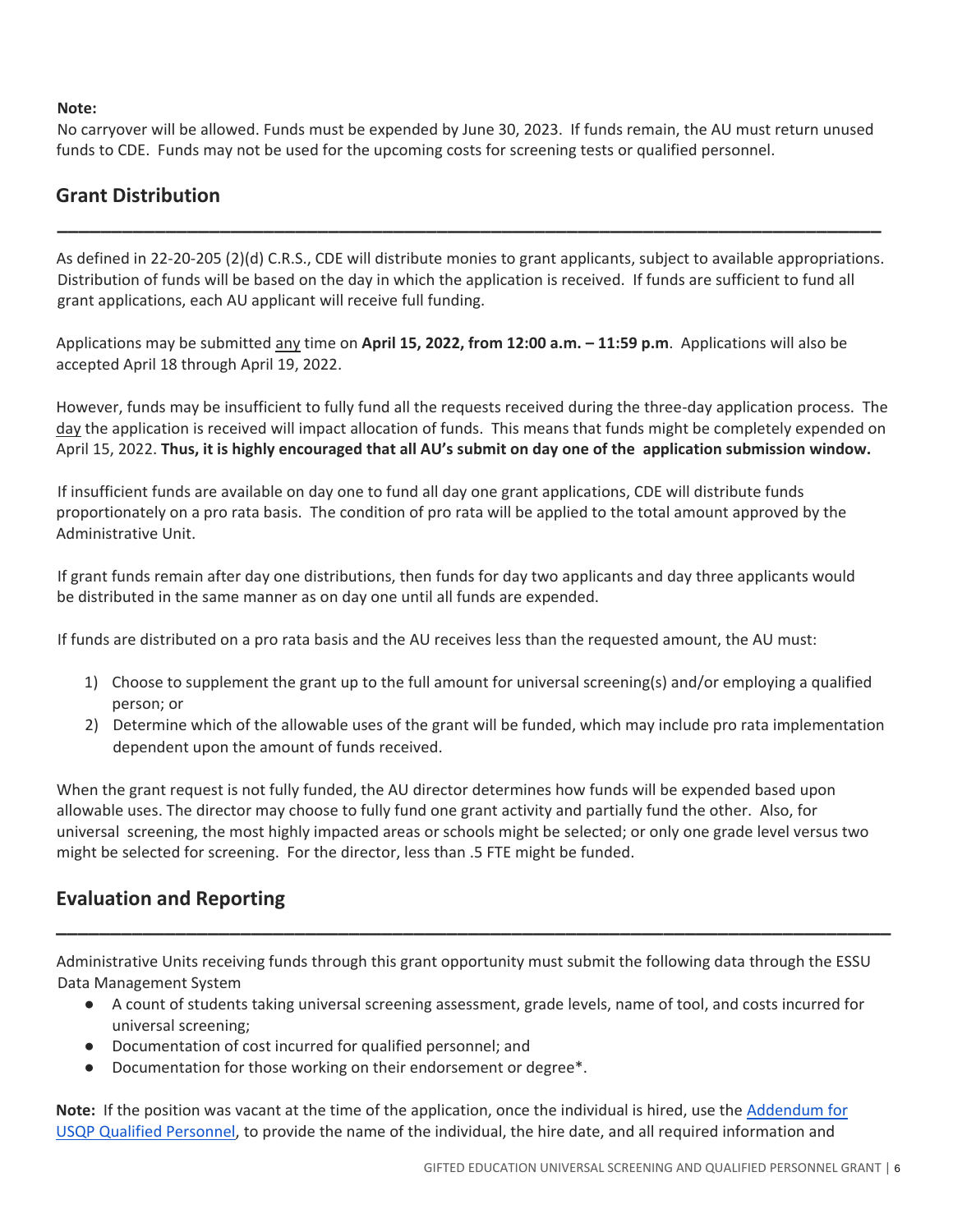#### **Note:**

No carryover will be allowed. Funds must be expended by June 30, 2023. If funds remain, the AU must return unused funds to CDE. Funds may not be used for the upcoming costs for screening tests or qualified personnel.

## **Grant Distribution**

As defined in 22-20-205 (2)(d) C.R.S., CDE will distribute monies to grant applicants, subject to available appropriations. Distribution of funds will be based on the day in which the application is received. If funds are sufficient to fund all grant applications, each AU applicant will receive full funding.

**\_\_\_\_\_\_\_\_\_\_\_\_\_\_\_\_\_\_\_\_\_\_\_\_\_\_\_\_\_\_\_\_\_\_\_\_\_\_\_\_\_\_\_\_\_\_\_\_\_\_\_\_\_\_\_\_\_\_\_\_\_\_\_\_\_\_\_\_\_\_\_\_\_\_\_\_**

Applications may be submitted any time on **April 15, 2022, from 12:00 a.m. – 11:59 p.m**. Applications will also be accepted April 18 through April 19, 2022.

However, funds may be insufficient to fully fund all the requests received during the three-day application process. The day the application is received will impact allocation of funds. This means that funds might be completely expended on April 15, 2022. **Thus, it is highly encouraged that all AU's submit on day one of the application submission window.**

If insufficient funds are available on day one to fund all day one grant applications, CDE will distribute funds proportionately on a pro rata basis. The condition of pro rata will be applied to the total amount approved by the Administrative Unit.

If grant funds remain after day one distributions, then funds for day two applicants and day three applicants would be distributed in the same manner as on day one until all funds are expended.

If funds are distributed on a pro rata basis and the AU receives less than the requested amount, the AU must:

- 1) Choose to supplement the grant up to the full amount for universal screening(s) and/or employing a qualified person; or
- 2) Determine which of the allowable uses of the grant will be funded, which may include pro rata implementation dependent upon the amount of funds received.

When the grant request is not fully funded, the AU director determines how funds will be expended based upon allowable uses. The director may choose to fully fund one grant activity and partially fund the other. Also, for universal screening, the most highly impacted areas or schools might be selected; or only one grade level versus two might be selected for screening. For the director, less than .5 FTE might be funded.

## **Evaluation and Reporting**

Administrative Units receiving funds through this grant opportunity must submit the following data through the ESSU Data Management System

● A count of students taking universal screening assessment, grade levels, name of tool, and costs incurred for universal screening;

**\_\_\_\_\_\_\_\_\_\_\_\_\_\_\_\_\_\_\_\_\_\_\_\_\_\_\_\_\_\_\_\_\_\_\_\_\_\_\_\_\_\_\_\_\_\_\_\_\_\_\_\_\_\_\_\_\_\_\_\_\_\_\_\_\_\_\_\_\_\_\_\_\_\_\_\_\_** 

- Documentation of cost incurred for qualified personnel; and
- Documentation for those working on their endorsement or degree\*.

**Note:** If the position was vacant at the time of the application, once the individual is hired, use the [Addendum for](https://docs.google.com/spreadsheets/d/1mGYY1x4JYFhCFeWwYxKUZWBMWypnCs1x/edit?usp=sharing&ouid=113067366389090593414&rtpof=true&sd=true)  [USQP Qualified Personnel,](https://docs.google.com/spreadsheets/d/1mGYY1x4JYFhCFeWwYxKUZWBMWypnCs1x/edit?usp=sharing&ouid=113067366389090593414&rtpof=true&sd=true) to provide the name of the individual, the hire date, and all required information and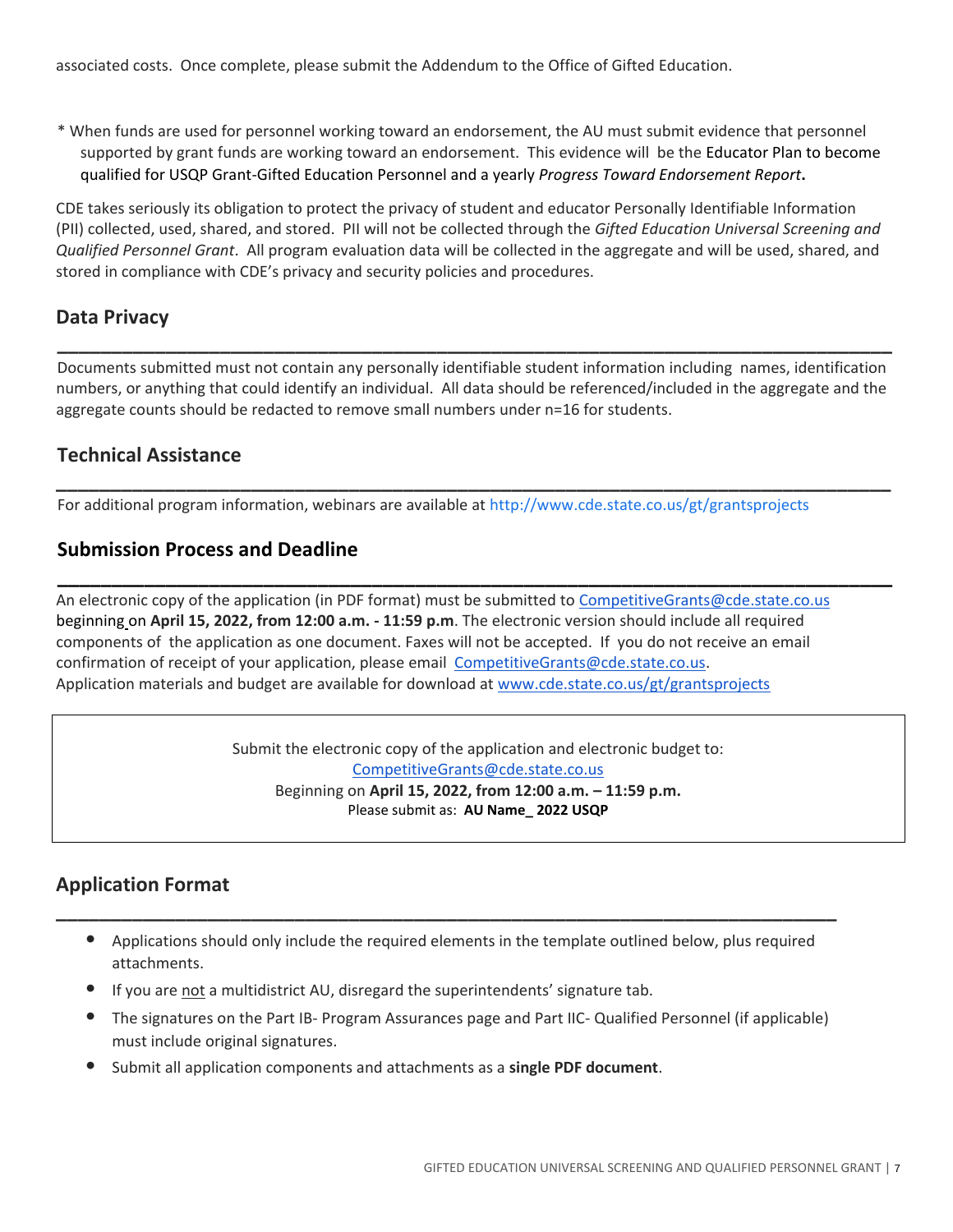associated costs. Once complete, please submit the Addendum to the Office of Gifted Education.

\* When funds are used for personnel working toward an endorsement, the AU must submit evidence that personnel supported by grant funds are working toward an endorsement. This evidence will be the Educator Plan to become qualified for USQP Grant-Gifted Education Personnel and a yearly *Progress Toward Endorsement Report***.**

CDE takes seriously its obligation to protect the privacy of student and educator Personally Identifiable Information (PII) collected, used, shared, and stored. PII will not be collected through the *Gifted Education Universal Screening and Qualified Personnel Grant*. All program evaluation data will be collected in the aggregate and will be used, shared, and stored in compliance with CDE's privacy and security policies and procedures.

### **Data Privacy**

Documents submitted must not contain any personally identifiable student information including names, identification numbers, or anything that could identify an individual. All data should be referenced/included in the aggregate and the aggregate counts should be redacted to remove small numbers under n=16 for students.

**\_\_\_\_\_\_\_\_\_\_\_\_\_\_\_\_\_\_\_\_\_\_\_\_\_\_\_\_\_\_\_\_\_\_\_\_\_\_\_\_\_\_\_\_\_\_\_\_\_\_\_\_\_\_\_\_\_\_\_\_\_\_\_\_\_\_\_\_\_\_\_\_\_\_\_\_\_**

**\_\_\_\_\_\_\_\_\_\_\_\_\_\_\_\_\_\_\_\_\_\_\_\_\_\_\_\_\_\_\_\_\_\_\_\_\_\_\_\_\_\_\_\_\_\_\_\_\_\_\_\_\_\_\_\_\_\_\_\_\_\_\_\_\_\_\_\_\_\_\_\_\_\_\_\_\_** 

**\_\_\_\_\_\_\_\_\_\_\_\_\_\_\_\_\_\_\_\_\_\_\_\_\_\_\_\_\_\_\_\_\_\_\_\_\_\_\_\_\_\_\_\_\_\_\_\_\_\_\_\_\_\_\_\_\_\_\_\_\_\_\_\_\_\_\_\_\_\_\_\_\_\_\_\_\_**

## **Technical Assistance**

For additional program information, webinars are available a[t http://www.cde.state.co.us/gt/grantsprojects](http://www.cde.state.co.us/gt/grantsprojects)

## **Submission Process and Deadline**

An electronic copy of the application (in PDF format) must be submitted to [CompetitiveGrants@cde.state.co.us](mailto:CompetitiveGrants@cde.state.co.us) beginning on **April 15, 2022, from 12:00 a.m. - 11:59 p.m**. The electronic version should include all required components of the application as one document. Faxes will not be accepted. If you do not receive an email confirmation of receipt of your application, please email [CompetitiveGrants@cde.state.co.us.](mailto:CompetitiveGrants@cde.state.co.us) Application materials and budget are available for download at [www.cde.state.co.us/gt/grantsprojects](http://www.cde.state.co.us/gt/grantsprojects)

> Submit the electronic copy of the application and electronic budget to: [CompetitiveGrants@cde.state.co.us](mailto:CompetitiveGrants@cde.state.co.us) Beginning on **April 15, 2022, from 12:00 a.m. – 11:59 p.m.** Please submit as: **AU Name\_ 2022 USQP**

## **Application Format**

 • Applications should only include the required elements in the template outlined below, plus required attachments.

**\_\_\_\_\_\_\_\_\_\_\_\_\_\_\_\_\_\_\_\_\_\_\_\_\_\_\_\_\_\_\_\_\_\_\_\_\_\_\_\_\_\_\_\_\_\_\_\_\_\_\_\_\_\_\_\_\_\_\_\_\_\_\_\_\_\_\_\_\_\_\_\_**

- If you are not a multidistrict AU, disregard the superintendents' signature tab.
- The signatures on the Part IB- Program Assurances page and Part IIC- Qualified Personnel (if applicable) must include original signatures.
- Submit all application components and attachments as a **single PDF document**.